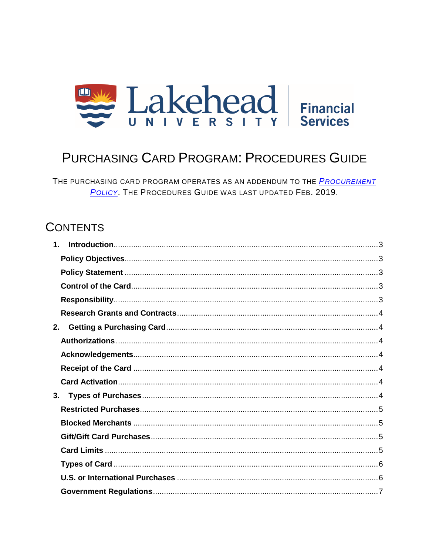

# **PURCHASING CARD PROGRAM: PROCEDURES GUIDE**

THE PURCHASING CARD PROGRAM OPERATES AS AN ADDENDUM TO THE PROCUREMENT POLICY. THE PROCEDURES GUIDE WAS LAST UPDATED FEB. 2019.

# **CONTENTS**

| $\mathbf 1$ |  |
|-------------|--|
|             |  |
|             |  |
|             |  |
|             |  |
|             |  |
| 2.          |  |
|             |  |
|             |  |
|             |  |
|             |  |
| 3.          |  |
|             |  |
|             |  |
|             |  |
|             |  |
|             |  |
|             |  |
|             |  |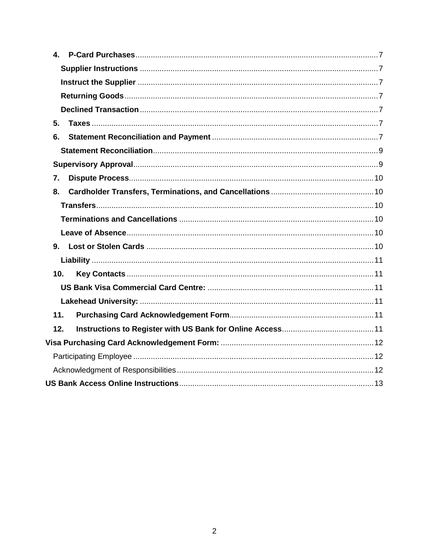| 5.              |
|-----------------|
| 6.              |
|                 |
|                 |
| 7.              |
| 8.              |
|                 |
|                 |
|                 |
|                 |
|                 |
| 10 <sub>1</sub> |
|                 |
|                 |
| 11.             |
| 12.             |
|                 |
|                 |
|                 |
|                 |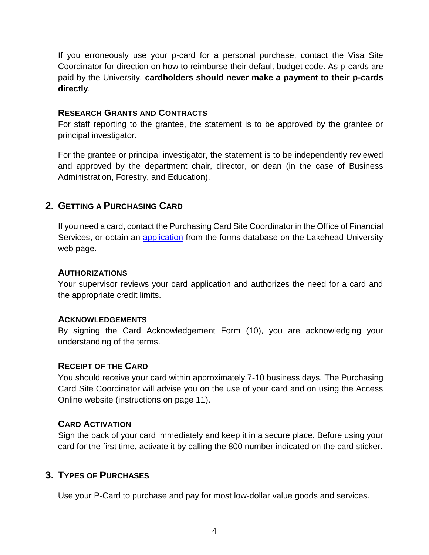If you erroneously use your p-card for a personal purchase, contact the Visa Site Coordinator for direction on how to reimburse their default budget code. As p-cards are paid by the University, **cardholders should never make a payment to their p-cards directly**.

#### <span id="page-3-0"></span>**RESEARCH GRANTS AND CONTRACTS**

For staff reporting to the grantee, the statement is to be approved by the grantee or principal investigator.

For the grantee or principal investigator, the statement is to be independently reviewed and approved by the department chair, director, or dean (in the case of Business Administration, Forestry, and Education).

# <span id="page-3-1"></span>**GETTING A PURCHASING CARD**

If you need a card, contact the 9LVD Site Coordinatom the Office of Financial Services, or obtain an application f[rom the form](https://erpwp.lakeheadu.ca/?destination=node/1974)s database on the Lakehead University web page.

#### **AUTHORIZATIONS**

<span id="page-3-2"></span>Your supervisor reviews your card application and authorizes the need for a card and the appropriate credit limits.

#### **ACKNOWLEDGEMENTS**

<span id="page-3-3"></span>By signing the Card Acknowledgement Form (10), you are acknowledging your understanding of the terms.

### **RECEIPT OF THE CARD**

<span id="page-3-4"></span>You should receive your card within approximately 7-10 business days. The Visa Site Coordinator will advise you on the use of your card and on using the Access Online website (instructions on page 11).

### **CARD ACTIVATION**

<span id="page-3-5"></span>Sign the back of your card immediately and keep it in a secure place. Before using your card for the first time, activate it by calling the 800 number indicated on the card sticker.

# **3. TYPES OF PURCHASES**

<span id="page-3-6"></span>Use your P-Card to purchase and pay for most low-dollar value goods and services.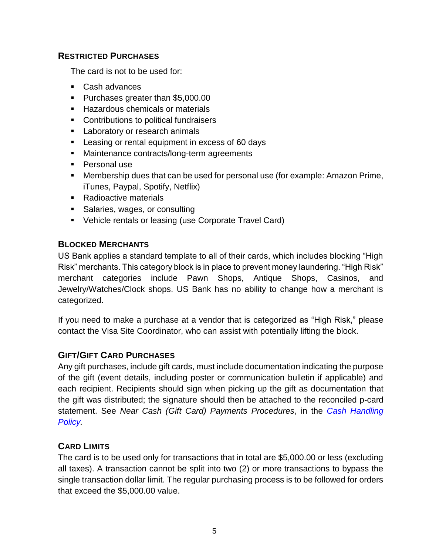#### <span id="page-4-0"></span>**RESTRICTED PURCHASES**

The card is not to be used for:

- Cash advances
- **Purchases greater than \$5,000.00**
- **Hazardous chemicals or materials**
- **Contributions to political fundraisers**
- **Laboratory or research animals**
- **EXEC** Leasing or rental equipment in excess of 60 days
- **Maintenance contracts/long-term agreements**
- Personal use
- Membership dues that can be used for personal use (for example: Amazon Prime, iTunes, Paypal, Spotify, Netflix)
- Radioactive materials
- Salaries, wages, or consulting
- Vehicle rentals or leasing (use Corporate Travel Card)

#### <span id="page-4-1"></span>**BLOCKED MERCHANTS**

US Bank applies a standard template to all of their cards, which includes blocking "High Risk" merchants. This category block is in place to prevent money laundering. "High Risk" merchant categories include Pawn Shops, Antique Shops, Casinos, and Jewelry/Watches/Clock shops. US Bank has no ability to change how a merchant is categorized.

If you need to make a purchase at a vendor that is categorized as "High Risk," please contact the Visa Site Coordinator, who can assist with potentially lifting the block.

### <span id="page-4-2"></span>**GIFT/GIFT CARD PURCHASES**

Any gift purchases, include gift cards, must include documentation indicating the purpose of the gift (event details, including poster or communication bulletin if applicable) and each recipient. Recipients should sign when picking up the gift as documentation that the gift was distributed; the signature should then be attached to the reconciled p-card statement. See *Near Cash (Gift Card) Payments Procedures*, in the *[Cash Handling](https://www.lakeheadu.ca/sites/default/files/policies_procedures/Cash%20Handling%20Policy.pdf)  [Policy.](https://www.lakeheadu.ca/sites/default/files/policies_procedures/Cash%20Handling%20Policy.pdf)*

### <span id="page-4-3"></span>**CARD LIMITS**

The card is to be used only for transactions that in total are \$5,000.00 or less (excluding all taxes). A transaction cannot be split into two (2) or more transactions to bypass the single transaction dollar limit. The regular purchasing process is to be followed for orders that exceed the \$5,000.00 value.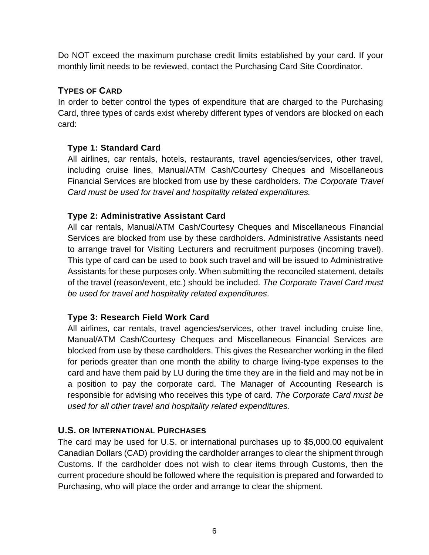Do NOT exceed the maximum purchase credit limits established by your card. If your monthly limit needs to be reviewed, contact the Visa Site Coordinator.

# <span id="page-5-0"></span>**TYPES OF CARD**

In order to better control the types of expenditure that are charged to the Purchasing Card, three types of cards exist whereby different types of vendors are blocked on each card:

### **Type 1: Standard Card**

All airlines, car rentals, hotels, restaurants, travel agencies/services, other travel, including cruise lines, Manual/ATM Cash/Courtesy Cheques and Miscellaneous Financial Services are blocked from use by these cardholders. *The Corporate Travel Card must be used for travel and hospitality related expenditures.*

### **Type 2: Administrative Assistant Card**

All car rentals, Manual/ATM Cash/Courtesy Cheques and Miscellaneous Financial Services are blocked from use by these cardholders. Administrative Assistants need to arrange travel for Visiting Lecturers and recruitment purposes (incoming travel). This type of card can be used to book such travel and will be issued to Administrative Assistants for these purposes only. When submitting the reconciled statement, details of the travel (reason/event, etc.) should be included. *The Corporate Travel Card must be used for travel and hospitality related expenditures.*

### **Type 3: Research Field Work Card**

All airlines, car rentals, travel agencies/services, other travel including cruise line, Manual/ATM Cash/Courtesy Cheques and Miscellaneous Financial Services are blocked from use by these cardholders. This gives the Researcher working in the filed for periods greater than one month the ability to charge living-type expenses to the card and have them paid by LU during the time they are in the field and may not be in a position to pay the corporate card. The Manager of Accounting Research is responsible for advising who receives this type of card. *The Corporate Card must be used for all other travel and hospitality related expenditures.*

### <span id="page-5-1"></span>**U.S. OR INTERNATIONAL PURCHASES**

The card may be used for U.S. or international purchases up to \$5,000.00 equivalent Canadian Dollars (CAD) providing the cardholder arranges to clear the shipment through Customs. If the cardholder does not wish to clear items through Customs, then the current procedure should be followed where the requisition is prepared and forwarded to Purchasing, who will place the order and arrange to clear the shipment.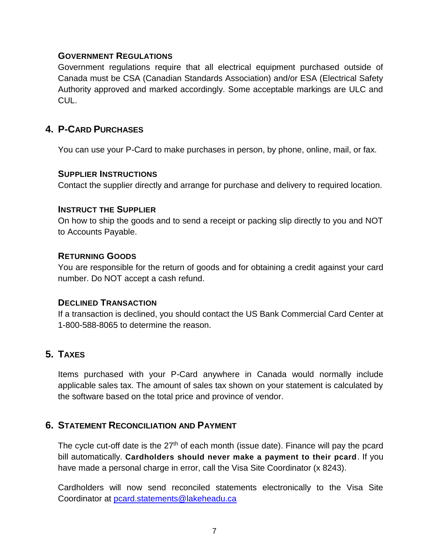#### <span id="page-6-0"></span>**GOVERNMENT REGULATIONS**

Government regulations require that all electrical equipment purchased outside of Canada must be CSA (Canadian Standards Association) and/or ESA (Electrical Safety Authority approved and marked accordingly. Some acceptable markings are ULC and CUL.

### <span id="page-6-1"></span>**4. P-CARD PURCHASES**

You can use your P-Card to make purchases in person, by phone, online, mail, or fax.

#### <span id="page-6-2"></span>**SUPPLIER INSTRUCTIONS**

Contact the supplier directly and arrange for purchase and delivery to required location.

#### <span id="page-6-3"></span>**INSTRUCT THE SUPPLIER**

On how to ship the goods and to send a receipt or packing slip directly to you and NOT to Accounts Payable.

#### <span id="page-6-4"></span>**RETURNING GOODS**

You are responsible for the return of goods and for obtaining a credit against your card number. Do NOT accept a cash refund.

#### <span id="page-6-5"></span>**DECLINED TRANSACTION**

If a transaction is declined, you should contact the US Bank Commercial Card Center at 1-800-588-8065 to determine the reason.

# <span id="page-6-6"></span>**5. TAXES**

Items purchased with your P-Card anywhere in Canada would normally include applicable sales tax. The amount of sales tax shown on your statement is calculated by the software based on the total price and province of vendor.

### <span id="page-6-7"></span>**6. STATEMENT RECONCILIATION AND PAYMENT**

The cycle cut-off date is the 27<sup>th</sup> of each month (issue date). Finance will pay the pcard bill automatically. **Cardholders should never make a payment to their pcard**. If you have made a personal charge in error, call the Visa Site Coordinator (x 8243).

Cardholders will now send reconciled statements electronically to the Visa Site Coordinator at [pcard.statements@lakeheadu.ca](mailto:pcard.statements@lakeheadu.ca)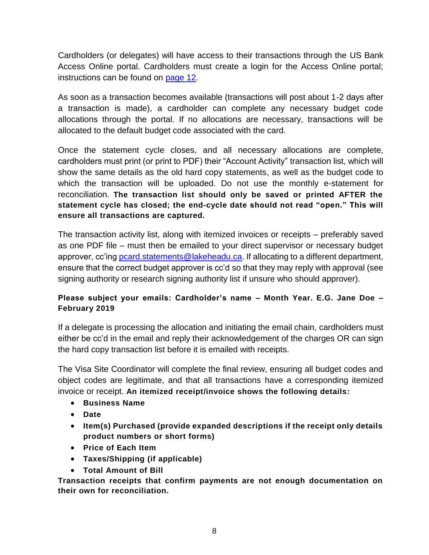Cardholders (or delegates) will have access to their transactions through the US Bank Access Online portal. Cardholders must create a login for the Access Online portal; instructions can be found on [page 12.](#page-12-0)

As soon as a transaction becomes available (transactions will post about 1-2 days after a transaction is made), a cardholder can complete any necessary budget code allocations through the portal. If no allocations are necessary, transactions will be allocated to the default budget code associated with the card.

Once the statement cycle closes, and all necessary allocations are complete, cardholders must print (or print to PDF) their "Account Activity" transaction list, which will show the same details as the old hard copy statements, as well as the budget code to which the transaction will be uploaded. Do not use the monthly e-statement for reconciliation. **The transaction list should only be saved or printed AFTER the statement cycle has closed; the end-cycle date should not read "open." This will ensure all transactions are captured.**

The transaction activity list, along with itemized invoices or receipts – preferably saved as one PDF file – must then be emailed to your direct supervisor or necessary budget approver, cc'ing [pcard.statements@lakeheadu.ca.](mailto:pcard.statements@lakeheadu.ca) If allocating to a different department, ensure that the correct budget approver is cc'd so that they may reply with approval (see signing authority or research signing authority list if unsure who should approver).

#### **Please subject your emails: Cardholder's name – Month Year. E.G. Jane Doe – February 2019**

If a delegate is processing the allocation and initiating the email chain, cardholders must either be cc'd in the email and reply their acknowledgement of the charges OR can sign the hard copy transaction list before it is emailed with receipts.

The Visa Site Coordinator will complete the final review, ensuring all budget codes and object codes are legitimate, and that all transactions have a corresponding itemized invoice or receipt. **An itemized receipt/invoice shows the following details:**

- **Business Name**
- **Date**
- **Item(s) Purchased (provide expanded descriptions if the receipt only details product numbers or short forms)**
- **Price of Each Item**
- **Taxes/Shipping (if applicable)**
- **Total Amount of Bill**

**Transaction receipts that confirm payments are not enough documentation on their own for reconciliation.**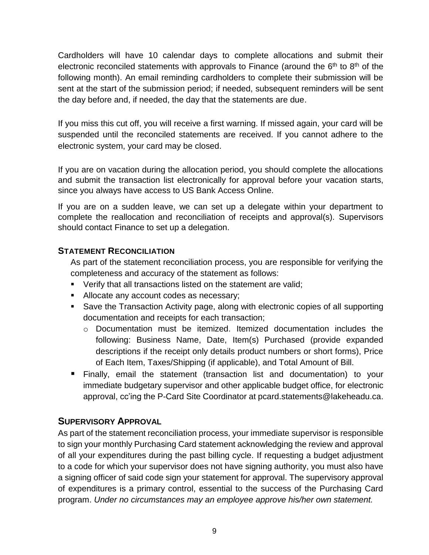Cardholders will have 10 calendar days to complete allocations and submit their electronic reconciled statements with approvals to Finance (around the  $6<sup>th</sup>$  to  $8<sup>th</sup>$  of the following month). An email reminding cardholders to complete their submission will be sent at the start of the submission period; if needed, subsequent reminders will be sent the day before and, if needed, the day that the statements are due.

If you miss this cut off, you will receive a first warning. If missed again, your card will be suspended until the reconciled statements are received. If you cannot adhere to the electronic system, your card may be closed.

If you are on vacation during the allocation period, you should complete the allocations and submit the transaction list electronically for approval before your vacation starts, since you always have access to US Bank Access Online.

If you are on a sudden leave, we can set up a delegate within your department to complete the reallocation and reconciliation of receipts and approval(s). Supervisors should contact Finance to set up a delegation.

### <span id="page-8-0"></span>**STATEMENT RECONCILIATION**

As part of the statement reconciliation process, you are responsible for verifying the completeness and accuracy of the statement as follows:

- Verify that all transactions listed on the statement are valid;
- Allocate any account codes as necessary;
- Save the Transaction Activity page, along with electronic copies of all supporting documentation and receipts for each transaction;
	- $\circ$  Documentation must be itemized. Itemized documentation includes the following: Business Name, Date, Item(s) Purchased (provide expanded descriptions if the receipt only details product numbers or short forms), Price of Each Item, Taxes/Shipping (if applicable), and Total Amount of Bill.
- Finally, email the statement (transaction list and documentation) to your immediate budgetary supervisor and other applicable budget office, for electronic approval, cc'ing the P-Card Site Coordinator at pcard.statements@lakeheadu.ca.

# <span id="page-8-1"></span>**SUPERVISORY APPROVAL**

As part of the statement reconciliation process, your immediate supervisor is responsible to sign your monthly Purchasing Card statement acknowledging the review and approval of all your expenditures during the past billing cycle. If requesting a budget adjustment to a code for which your supervisor does not have signing authority, you must also have a signing officer of said code sign your statement for approval. The supervisory approval of expenditures is a primary control, essential to the success of the Purchasing Card program. *Under no circumstances may an employee approve his/her own statement.*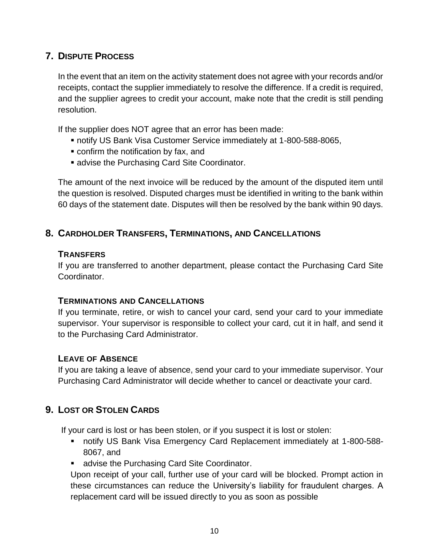# <span id="page-9-0"></span>**7. DISPUTE PROCESS**

In the event that an item on the activity statement does not agree with your records and/or receipts, contact the supplier immediately to resolve the difference. If a credit is required, and the supplier agrees to credit your account, make note that the credit is still pending resolution.

If the supplier does NOT agree that an error has been made:

- notify US Bank Visa Customer Service immediately at 1-800-588-8065,
- confirm the notification by fax, and
- **advise the Visa Site Coordinator.**

The amount of the next invoice will be reduced by the amount of the disputed item until the question is resolved. Disputed charges must be identified in writing to the bank within 60 days of the statement date. Disputes will then be resolved by the bank within 90 days.

### <span id="page-9-1"></span>**8. CARDHOLDER TRANSFERS, TERMINATIONS, AND CANCELLATIONS**

### <span id="page-9-2"></span>**TRANSFERS**

If you are transferred to another department, please contact the Visa Site Coordinator.

#### **TERMINATIONS AND CANCELLATIONS**

<span id="page-9-3"></span>If you terminate, retire, or wish to cancel your card, send your card to your immediate supervisor. Your supervisor is responsible to collect your card, cut it in half, and send it to the Purchasing Card Administrator.

#### **LEAVE OF ABSENCE**

<span id="page-9-4"></span>If you are taking a leave of absence, send your card to your immediate supervisor. Your Purchasing Card Administrator will decide whether to cancel or deactivate your card.

# **9. LOST OR STOLEN CARDS**

<span id="page-9-5"></span>If your card is lost or has been stolen, or if you suspect it is lost or stolen:

- notify US Bank Visa Emergency Card Replacement immediately at
- 1-800-588-8067, and
- **advise the Visa Site Coordinator.**

Upon receipt of your call, further use of your card will be blocked. Prompt action in these circumstances can reduce the University's liability for fraudulent charges. A replacement card will be issued directly to you as soon as possible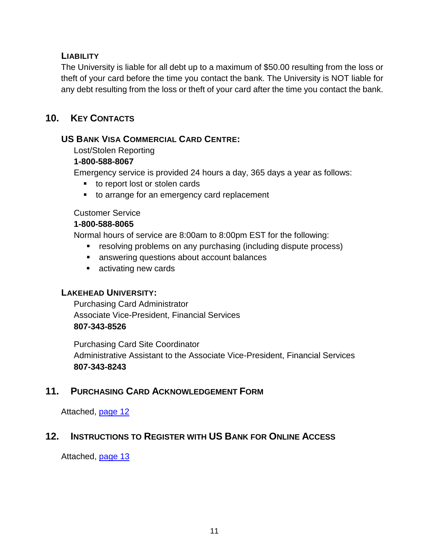### <span id="page-10-0"></span>**LIABILITY**

The University is liable for all debt up to a maximum of \$50.00 resulting from the loss or theft of your card before the time you contact the bank. The University is NOT liable for any debt resulting from the loss or theft of your card after the time you contact the bank.

# <span id="page-10-1"></span>**10. KEY CONTACTS**

#### <span id="page-10-2"></span>**US BANK VISA COMMERCIAL CARD CENTRE:**

Lost/Stolen Reporting

#### **1-800-588-8067**

Emergency service is provided 24 hours a day, 365 days a year as follows:

- to report lost or stolen cards
- to arrange for an emergency card replacement

#### Customer Service

#### **1-800-588-8065**

Normal hours of service are 8:00am to 8:00pm EST for the following:

- **EXECT** resolving problems on any purchasing (including dispute process)
- answering questions about account balances
- activating new cards

### <span id="page-10-3"></span>**LAKEHEAD UNIVERSITY:**

Purchasing Card Administrator Associate Vice-President, Financial Services **807-343-8010 ext. 8526**

Purchasing Card Site Coordinator Administrative Assistant & Visa Site Coordinator, Financial Services **807-343-8243**

# <span id="page-10-4"></span>**11. PURCHASING CARD ACKNOWLEDGEMENT FORM**

Attached, page 12

# <span id="page-10-5"></span>**12. INSTRUCTIONS TO REGISTER WITH US BANK FOR ONLINE ACCESS**

Attached, page 13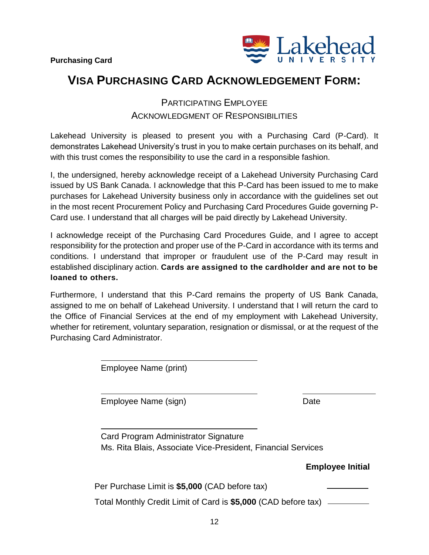

# <span id="page-11-1"></span><span id="page-11-0"></span>**VISA PURCHASING CARD ACKNOWLEDGEMENT FORM:**

# PARTICIPATING EMPLOYEE ACKNOWLEDGMENT OF RESPONSIBILITIES

<span id="page-11-2"></span>Lakehead University is pleased to present you with a Purchasing Card (P-Card). It demonstrates Lakehead University's trust in you to make certain purchases on its behalf, and with this trust comes the responsibility to use the card in a responsible fashion.

I, the undersigned, hereby acknowledge receipt of a Lakehead University Purchasing Card issued by US Bank Canada. I acknowledge that this P-Card has been issued to me to make purchases for Lakehead University business only in accordance with the guidelines set out in the most recent Procurement Policy and Purchasing Card Procedures Guide governing P-Card use. I understand that all charges will be paid directly by Lakehead University.

I acknowledge receipt of the Purchasing Card Procedures Guide, and I agree to accept responsibility for the protection and proper use of the P-Card in accordance with its terms and conditions. I understand that improper or fraudulent use of the P-Card may result in established disciplinary action. **Cards are assigned to the cardholder and are not to be loaned to others.**

Furthermore, I understand that this P-Card remains the property of US Bank Canada, assigned to me on behalf of Lakehead University. I understand that I will return the card to the Office of Financial Services at the end of my employment with Lakehead University, whether for retirement, voluntary separation, resignation or dismissal, or at the request of the Purchasing Card Administrator.

Employee Name (print)

Employee Name (sign) Date

Card Program Site Coordinator Signature Ms. Dianne Cataldo, Administrative Assistant and Visa Site Coordinator, Financial Services

**Employee Initials**

| Per Purchase Limit is \$5,000 (CAD before tax) |
|------------------------------------------------|
|------------------------------------------------|

Total Monthly Credit Limit of Card is **\$5,000** (CAD before tax)